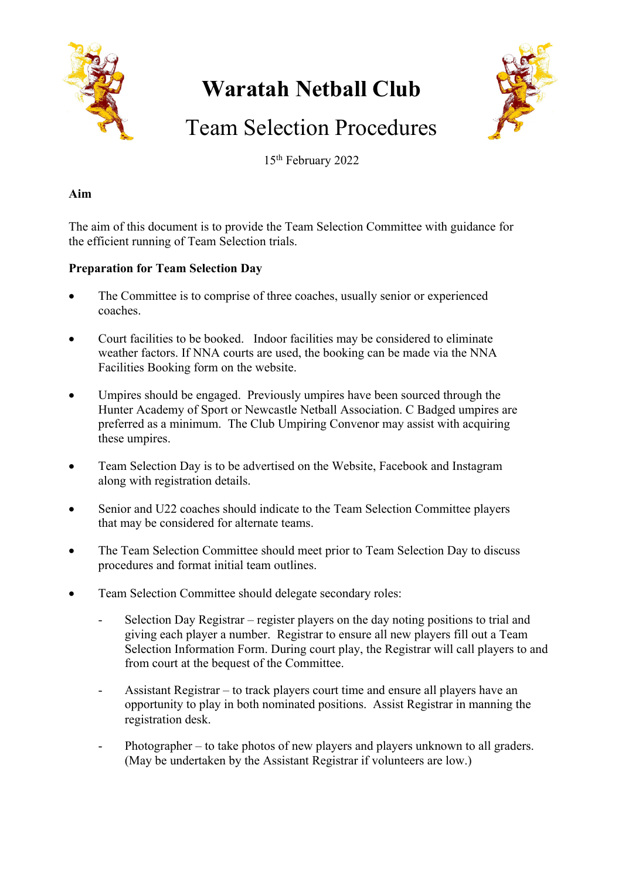

# **Waratah Netball Club**



# Team Selection Procedures

15th February 2022

# **Aim**

The aim of this document is to provide the Team Selection Committee with guidance for the efficient running of Team Selection trials.

# **Preparation for Team Selection Day**

- The Committee is to comprise of three coaches, usually senior or experienced coaches.
- Court facilities to be booked. Indoor facilities may be considered to eliminate weather factors. If NNA courts are used, the booking can be made via the NNA Facilities Booking form on the website.
- Umpires should be engaged. Previously umpires have been sourced through the Hunter Academy of Sport or Newcastle Netball Association. C Badged umpires are preferred as a minimum. The Club Umpiring Convenor may assist with acquiring these umpires.
- Team Selection Day is to be advertised on the Website, Facebook and Instagram along with registration details.
- Senior and U22 coaches should indicate to the Team Selection Committee players that may be considered for alternate teams.
- The Team Selection Committee should meet prior to Team Selection Day to discuss procedures and format initial team outlines.
- Team Selection Committee should delegate secondary roles:
	- Selection Day Registrar register players on the day noting positions to trial and giving each player a number. Registrar to ensure all new players fill out a Team Selection Information Form. During court play, the Registrar will call players to and from court at the bequest of the Committee.
	- Assistant Registrar to track players court time and ensure all players have an opportunity to play in both nominated positions. Assist Registrar in manning the registration desk.
	- Photographer to take photos of new players and players unknown to all graders. (May be undertaken by the Assistant Registrar if volunteers are low.)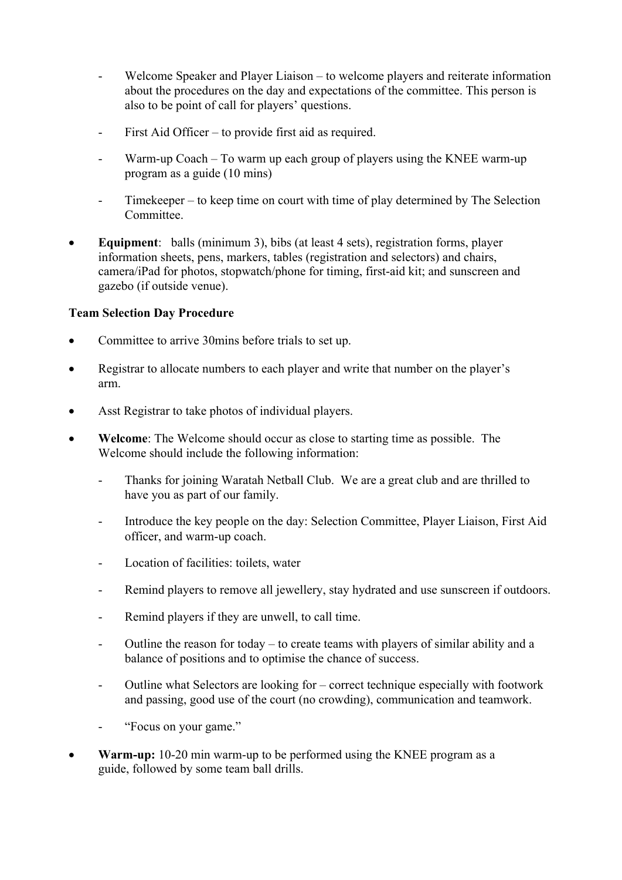- Welcome Speaker and Player Liaison to welcome players and reiterate information about the procedures on the day and expectations of the committee. This person is also to be point of call for players' questions.
- First Aid Officer to provide first aid as required.
- Warm-up  $Coach To warm up each group of players using the KNEE warm-up$ program as a guide (10 mins)
- Timekeeper to keep time on court with time of play determined by The Selection Committee.
- **Equipment**: balls (minimum 3), bibs (at least 4 sets), registration forms, player information sheets, pens, markers, tables (registration and selectors) and chairs, camera/iPad for photos, stopwatch/phone for timing, first-aid kit; and sunscreen and gazebo (if outside venue).

# **Team Selection Day Procedure**

- Committee to arrive 30mins before trials to set up.
- Registrar to allocate numbers to each player and write that number on the player's arm.
- Asst Registrar to take photos of individual players.
- **Welcome**: The Welcome should occur as close to starting time as possible. The Welcome should include the following information:
	- Thanks for joining Waratah Netball Club. We are a great club and are thrilled to have you as part of our family.
	- Introduce the key people on the day: Selection Committee, Player Liaison, First Aid officer, and warm-up coach.
	- Location of facilities: toilets, water
	- Remind players to remove all jewellery, stay hydrated and use sunscreen if outdoors.
	- Remind players if they are unwell, to call time.
	- Outline the reason for today to create teams with players of similar ability and a balance of positions and to optimise the chance of success.
	- Outline what Selectors are looking for correct technique especially with footwork and passing, good use of the court (no crowding), communication and teamwork.
	- "Focus on your game."
- **Warm-up:** 10-20 min warm-up to be performed using the KNEE program as a guide, followed by some team ball drills.